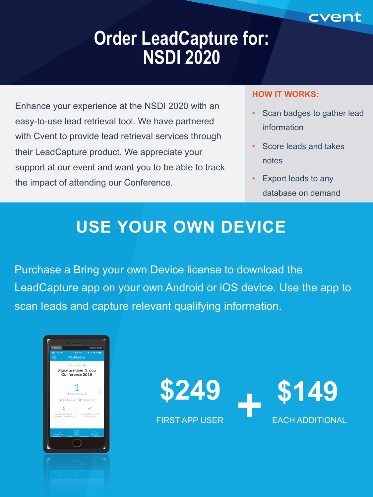# **Order LeadCapture for: NSDI 2020**

Enhance your experience at the NSDI 2020 with an easy-to-use lead retrieval tool. We have partnered with Cvent to provide lead retrieval services through their LeadCapture product. We appreciate your support at our event and want you to be able to track the impact of attending our Conference.

#### **HOW IT WORKS:**

Scan badges to gather lead information

cvent

- Score leads and takes notes
- Export leads to any database on demand

# **USE YOUR OWN DEVICE**

Purchase a Bring your own Device license to download the LeadCapture app on your own Android or iOS device. Use the app to scan leads and capture relevant qualifying information.



**\$249 \$149**

FIRST APP USER EACH ADDITIONAL